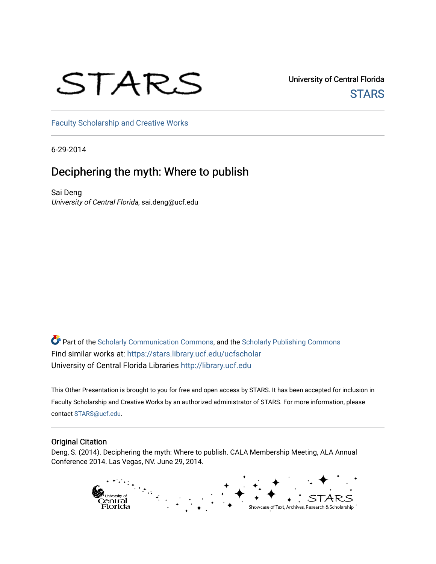# STARS

University of Central Florida **STARS** 

[Faculty Scholarship and Creative Works](https://stars.library.ucf.edu/ucfscholar) 

6-29-2014

### Deciphering the myth: Where to publish

Sai Deng University of Central Florida, sai.deng@ucf.edu

**P** Part of the [Scholarly Communication Commons,](http://network.bepress.com/hgg/discipline/1272?utm_source=stars.library.ucf.edu%2Fucfscholar%2F13&utm_medium=PDF&utm_campaign=PDFCoverPages) and the [Scholarly Publishing Commons](http://network.bepress.com/hgg/discipline/1273?utm_source=stars.library.ucf.edu%2Fucfscholar%2F13&utm_medium=PDF&utm_campaign=PDFCoverPages) Find similar works at: <https://stars.library.ucf.edu/ucfscholar> University of Central Florida Libraries [http://library.ucf.edu](http://library.ucf.edu/) 

This Other Presentation is brought to you for free and open access by STARS. It has been accepted for inclusion in Faculty Scholarship and Creative Works by an authorized administrator of STARS. For more information, please contact [STARS@ucf.edu.](mailto:STARS@ucf.edu)

#### Original Citation

Deng, S. (2014). Deciphering the myth: Where to publish. CALA Membership Meeting, ALA Annual Conference 2014. Las Vegas, NV. June 29, 2014.